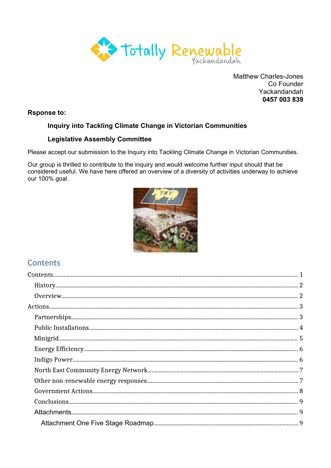

**Matthew Charles-Jones** Co Founder Yackandandah 0457 003 839

**Rsponse to:** 

# Inquiry into Tackling Climate Change in Victorian Communities

# **Legislative Assembly Committee**

Please accept our submission to the Inquiry into Tackling Climate Change in Victorian Communities.

Our group is thrilled to contribute to the inquiry and would welcome further input should that be considered useful. We have here offered an overview of a diversity of activities underway to achieve our 100% goal.



# <span id="page-0-0"></span>**Contents**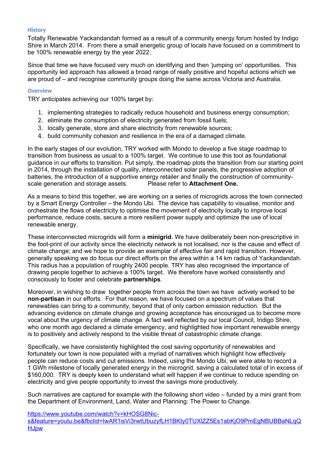#### <span id="page-1-1"></span>**History**

Totally Renewable Yackandandah formed as a result of a community energy forum hosted by Indigo Shire in March 2014. From there a small energetic group of locals have focused on a commitment to be 100% renewable energy by the year 2022.

Since that time we have focused very much on identifying and then 'jumping on' opportunities. This opportunity led approach has allowed a broad range of really positive and hopeful actions which we are proud of – and recognise community groups doing the same across Victoria and Australia.

#### <span id="page-1-0"></span>**Overview**

TRY anticipates achieving our 100% target by:

- 1. implementing strategies to radically reduce household and business energy consumption;
- 2. eliminate the consumption of electricity generated from fossil fuels;
- 3. locally generate, store and share electricity from renewable sources;
- 4. build community cohesion and resilience in the era of a damaged climate.

In the early stages of our evolution, TRY worked with Mondo to develop a five stage roadmap to transition from business as usual to a 100% target. We continue to use this tool as foundational guidance in our efforts to transition. Put simply, the roadmap plots the transition from our starting point in 2014, through the installation of quality, interconnected solar panels, the progressive adoption of batteries, the introduction of a supportive energy retailer and finally the construction of communityscale generation and storage assets. Please refer to **Attachment One.**

As a means to bind this together, we are working on a series of microgrids across the town connected by a Smart Energy Controller – the Mondo Ubi. The device has capability to visualise, monitor and orchestrate the flows of electricity to optimise the movement of electricity locally to improve local performance, reduce costs, secure a more resilient power supply and optimize the use of local renewable energy.

These interconnected microgrids will form a **minigrid**. We have deliberately been non-prescriptive in the foot-print of our activity since the electricity network is not localised, nor is the cause and effect of climate change; and we hope to provide an exemplar of effective fair and rapid transition. However, generally speaking we do focus our direct efforts on the area within a 14 km radius of Yackandandah. This radius has a population of roughly 2400 people. TRY has also recognised the importance of drawing people together to achieve a 100% target. We therefore have worked consistently and consciously to foster and celebrate **partnerships**.

Moreover, in wishing to draw together people from across the town we have actively worked to be **non-partisan** in our efforts. For that reason, we have focused on a spectrum of values that renewables can bring to a community, beyond that of only carbon emission reduction. But the advancing evidence on climate change and growing acceptance has encouraged us to become more vocal about the urgency of climate change. A fact well reflected by our local Council, Indigo Shire, who one month ago declared a climate emergency, and highlighted how important renewable energy is to positively and actively respond to the visible threat of catastrophic climate change.

Specifically, we have consistently highlighted the cost saving opportunity of renewables and fortunately our town is now populated with a myriad of narratives which highlight how effectively people can reduce costs and cut emissions. Indeed, using the Mondo Ubi, we were able to record a 1 GWh milestone of locally generated energy in the microgrid, saving a calculated total of in excess of \$160,000. TRY is deeply keen to understand what will happen if we continue to reduce spending on electricity and give people opportunity to invest the savings more productively.

Such narratives are captured for example with the following short video – funded by a mini grant from the Department of Environment, Land, Water and Planning: The Power to Change.

[https://www.youtube.com/watch?v=kHOSG8Nic-](https://www.youtube.com/watch?v=kHOSG8Nic-s&feature=youtu.be&fbclid=IwAR1isVi3rwtUbuzyfLH1BKty0TUXlZZ5Es1abKjO9PmEgNBUBBaNLqQHJpw)

[s&feature=youtu.be&fbclid=IwAR1isVi3rwtUbuzyfLH1BKty0TUXlZZ5Es1abKjO9PmEgNBUBBaNLqQ](https://www.youtube.com/watch?v=kHOSG8Nic-s&feature=youtu.be&fbclid=IwAR1isVi3rwtUbuzyfLH1BKty0TUXlZZ5Es1abKjO9PmEgNBUBBaNLqQHJpw) **[HJpw](https://www.youtube.com/watch?v=kHOSG8Nic-s&feature=youtu.be&fbclid=IwAR1isVi3rwtUbuzyfLH1BKty0TUXlZZ5Es1abKjO9PmEgNBUBBaNLqQHJpw)**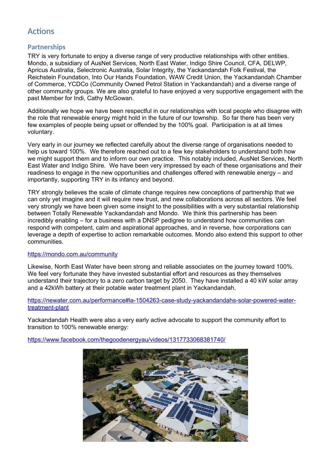# <span id="page-2-1"></span>Actions

# <span id="page-2-0"></span>**Partnerships**

TRY is very fortunate to enjoy a diverse range of very productive relationships with other entities. Mondo, a subsidiary of AusNet Services, North East Water, Indigo Shire Council, CFA, DELWP, Apricus Australia, Selectronic Australia, Solar Integrity, the Yackandandah Folk Festival, the Reichstein Foundation, Into Our Hands Foundation, WAW Credit Union, the Yackandandah Chamber of Commerce, YCDCo (Community Owned Petrol Station in Yackandandah) and a diverse range of other community groups. We are also grateful to have enjoyed a very supportive engagement with the past Member for Indi, Cathy McGowan.

Additionally we hope we have been respectful in our relationships with local people who disagree with the role that renewable energy might hold in the future of our township. So far there has been very few examples of people being upset or offended by the 100% goal. Participation is at all times voluntary.

Very early in our journey we reflected carefully about the diverse range of organisations needed to help us toward 100%. We therefore reached out to a few key stakeholders to understand both how we might support them and to inform our own practice. This notably included, AusNet Services, North East Water and Indigo Shire. We have been very impressed by each of these organisations and their readiness to engage in the new opportunities and challenges offered with renewable energy – and importantly, supporting TRY in its infancy and beyond.

TRY strongly believes the scale of climate change requires new conceptions of partnership that we can only yet imagine and it will require new trust, and new collaborations across all sectors. We feel very strongly we have been given some insight to the possibilities with a very substantial relationship between Totally Renewable Yackandandah and Mondo. We think this partnership has been incredibly enabling – for a business with a DNSP pedigree to understand how communities can respond with competent, calm and aspirational approaches, and in reverse, how corporations can leverage a depth of expertise to action remarkable outcomes. Mondo also extend this support to other communities.

### <https://mondo.com.au/community>

Likewise, North East Water have been strong and reliable associates on the journey toward 100%. We feel very fortunate they have invested substantial effort and resources as they themselves understand their trajectory to a zero carbon target by 2050. They have installed a 40 kW solar array and a 42kWh battery at their potable water treatment plant in Yackandandah.

#### [https://newater.com.au/performance#la-1504263-case-study-yackandandahs-solar-powered-water](https://newater.com.au/performance#la-1504263-case-study-yackandandahs-solar-powered-water-treatment-plant)[treatment-plant](https://newater.com.au/performance#la-1504263-case-study-yackandandahs-solar-powered-water-treatment-plant)

Yackandandah Health were also a very early active advocate to support the community effort to transition to 100% renewable energy:

<https://www.facebook.com/thegoodenergyau/videos/1317733068381740/>

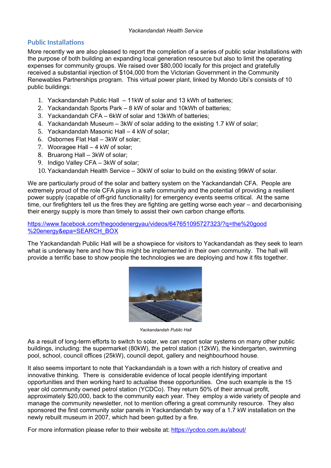# <span id="page-3-0"></span>**Public Installations**

More recently we are also pleased to report the completion of a series of public solar installations with the purpose of both building an expanding local generation resource but also to limit the operating expenses for community groups. We raised over \$80,000 locally for this project and gratefully received a substantial injection of \$104,000 from the Victorian Government in the Community Renewables Partnerships program. This virtual power plant, linked by Mondo Ubi's consists of 10 public buildings:

- 1. Yackandandah Public Hall 11kW of solar and 13 kWh of batteries;
- 2. Yackandandah Sports Park 8 kW of solar and 10kWh of batteries;
- 3. Yackandandah CFA 6kW of solar and 13kWh of batteries;
- 4. Yackandandah Museum 3kW of solar adding to the existing 1.7 kW of solar;
- 5. Yackandandah Masonic Hall 4 kW of solar;
- 6. Osbornes Flat Hall 3kW of solar;
- 7. Wooragee Hall 4 kW of solar;
- 8. Bruarong Hall 3kW of solar;
- 9. Indigo Valley CFA 3kW of solar;
- 10. Yackandandah Health Service 30kW of solar to build on the existing 99kW of solar.

We are particularly proud of the solar and battery system on the Yackandandah CFA. People are extremely proud of the role CFA plays in a safe community and the potential of providing a resilient power supply (capable of off-grid functionality) for emergency events seems critical. At the same time, our firefighters tell us the fires they are fighting are getting worse each year – and decarbonising their energy supply is more than timely to assist their own carbon change efforts.

### [https://www.facebook.com/thegoodenergyau/videos/647651095727323/?q=the%20good](https://www.facebook.com/thegoodenergyau/videos/647651095727323/?q=the%20good%20energy&epa=SEARCH_BOX) [%20energy&epa=SEARCH\\_BOX](https://www.facebook.com/thegoodenergyau/videos/647651095727323/?q=the%20good%20energy&epa=SEARCH_BOX)

The Yackandandah Public Hall will be a showpiece for visitors to Yackandandah as they seek to learn what is underway here and how this might be implemented in their own community. The hall will provide a terrific base to show people the technologies we are deploying and how it fits together.



*Yackandandah Public Hall*

As a result of long-term efforts to switch to solar, we can report solar systems on many other public buildings, including: the supermarket (80kW), the petrol station (12kW), the kindergarten, swimming pool, school, council offices (25kW), council depot, gallery and neighbourhood house.

It also seems important to note that Yackandandah is a town with a rich history of creative and innovative thinking. There is considerable evidence of local people identifying important opportunities and then working hard to actualise these opportunities. One such example is the 15 year old community owned petrol station (YCDCo). They return 50% of their annual profit, approximately \$20,000, back to the community each year. They employ a wide variety of people and manage the community newsletter, not to mention offering a great community resource. They also sponsored the first community solar panels in Yackandandah by way of a 1.7 kW installation on the newly rebuilt museum in 2007, which had been gutted by a fire.

For more information please refer to their website at: <https://ycdco.com.au/about/>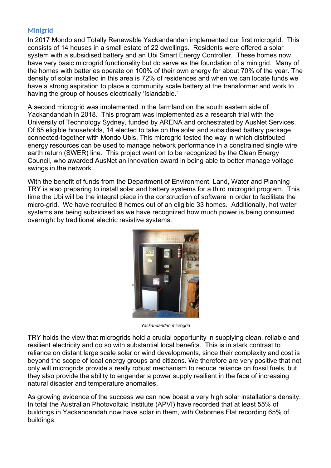# <span id="page-4-0"></span>**Minigrid**

In 2017 Mondo and Totally Renewable Yackandandah implemented our first microgrid. This consists of 14 houses in a small estate of 22 dwellings. Residents were offered a solar system with a subsidised battery and an Ubi Smart Energy Controller. These homes now have very basic microgrid functionality but do serve as the foundation of a minigrid. Many of the homes with batteries operate on 100% of their own energy for about 70% of the year. The density of solar installed in this area is 72% of residences and when we can locate funds we have a strong aspiration to place a community scale battery at the transformer and work to having the group of houses electrically 'íslandable.'

A second microgrid was implemented in the farmland on the south eastern side of Yackandandah in 2018. This program was implemented as a research trial with the University of Technology Sydney, funded by ARENA and orchestrated by AusNet Services. Of 85 eligible households, 14 elected to take on the solar and subsidised battery package connected-together with Mondo Ubis. This microgrid tested the way in which distributed energy resources can be used to manage network performance in a constrained single wire earth return (SWER) line. This project went on to be recognized by the Clean Energy Council, who awarded AusNet an innovation award in being able to better manage voltage swings in the network.

With the benefit of funds from the Department of Environment, Land, Water and Planning TRY is also preparing to install solar and battery systems for a third microgrid program. This time the Ubi will be the integral piece in the construction of software in order to facilitate the micro-grid. We have recruited 8 homes out of an eligible 33 homes. Additionally, hot water systems are being subsidised as we have recognized how much power is being consumed overnight by traditional electric resistive systems.



*Yackandandah microgrid*

TRY holds the view that microgrids hold a crucial opportunity in supplying clean, reliable and resilient electricity and do so with substantial local benefits. This is in stark contrast to reliance on distant large scale solar or wind developments, since their complexity and cost is beyond the scope of local energy groups and citizens. We therefore are very positive that not only will microgrids provide a really robust mechanism to reduce reliance on fossil fuels, but they also provide the ability to engender a power supply resilient in the face of increasing natural disaster and temperature anomalies.

As growing evidence of the success we can now boast a very high solar installations density. In total the Australian Photovoltaic Institute (APVI) have recorded that at least 55% of buildings in Yackandandah now have solar in them, with Osbornes Flat recording 65% of buildings.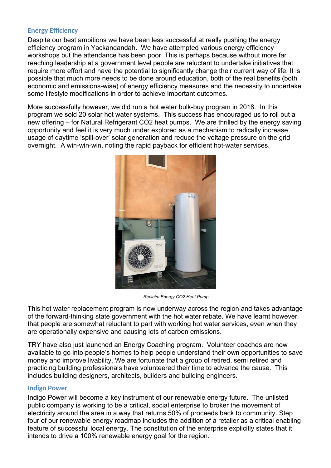# <span id="page-5-0"></span>**Energy Efficiency**

Despite our best ambitions we have been less successful at really pushing the energy efficiency program in Yackandandah. We have attempted various energy efficiency workshops but the attendance has been poor. This is perhaps because without more far reaching leadership at a government level people are reluctant to undertake initiatives that require more effort and have the potential to significantly change their current way of life. It is possible that much more needs to be done around education, both of the real benefits (both economic and emissions-wise) of energy efficiency measures and the necessity to undertake some lifestyle modifications in order to achieve important outcomes.

More successfully however, we did run a hot water bulk-buy program in 2018. In this program we sold 20 solar hot water systems. This success has encouraged us to roll out a new offering – for Natural Refrigerant CO2 heat pumps. We are thrilled by the energy saving opportunity and feel it is very much under explored as a mechanism to radically increase usage of daytime 'spill-over' solar generation and reduce the voltage pressure on the grid overnight. A win-win-win, noting the rapid payback for efficient hot-water services.



*Reclaim Energy CO2 Heat Pump*

This hot water replacement program is now underway across the region and takes advantage of the forward-thinking state government with the hot water rebate. We have learnt however that people are somewhat reluctant to part with working hot water services, even when they are operationally expensive and causing lots of carbon emissions.

TRY have also just launched an Energy Coaching program. Volunteer coaches are now available to go into people's homes to help people understand their own opportunities to save money and improve livability. We are fortunate that a group of retired, semi retired and practicing building professionals have volunteered their time to advance the cause. This includes building designers, architects, builders and building engineers.

### <span id="page-5-1"></span>**Indigo Power**

Indigo Power will become a key instrument of our renewable energy future. The unlisted public company is working to be a critical, social enterprise to broker the movement of electricity around the area in a way that returns 50% of proceeds back to community. Step four of our renewable energy roadmap includes the addition of a retailer as a critical enabling feature of successful local energy. The constitution of the enterprise explicitly states that it intends to drive a 100% renewable energy goal for the region.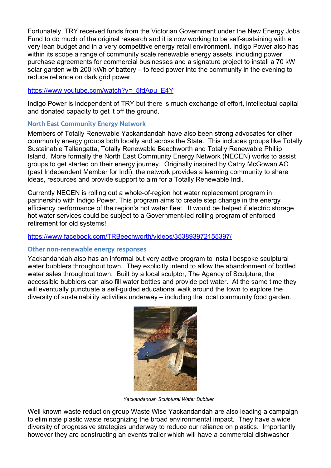Fortunately, TRY received funds from the Victorian Government under the New Energy Jobs Fund to do much of the original research and it is now working to be self-sustaining with a very lean budget and in a very competitive energy retail environment. Indigo Power also has within its scope a range of community scale renewable energy assets, including power purchase agreements for commercial businesses and a signature project to install a 70 kW solar garden with 200 kWh of battery – to feed power into the community in the evening to reduce reliance on dark grid power.

### [https://www.youtube.com/watch?v=\\_5fdApu\\_E4Y](https://www.youtube.com/watch?v=_5fdApu_E4Y)

Indigo Power is independent of TRY but there is much exchange of effort, intellectual capital and donated capacity to get it off the ground.

# <span id="page-6-1"></span>**North East Community Energy Network**

Members of Totally Renewable Yackandandah have also been strong advocates for other community energy groups both locally and across the State. This includes groups like Totally Sustainable Tallangatta, Totally Renewable Beechworth and Totally Renewable Phillip Island. More formally the North East Community Energy Network (NECEN) works to assist groups to get started on their energy journey. Originally inspired by Cathy McGowan AO (past Independent Member for Indi), the network provides a learning community to share ideas, resources and provide support to aim for a Totally Renewable Indi.

Currently NECEN is rolling out a whole-of-region hot water replacement program in partnership with Indigo Power. This program aims to create step change in the energy efficiency performance of the region's hot water fleet. It would be helped if electric storage hot water services could be subject to a Government-led rolling program of enforced retirement for old systems!

# <https://www.facebook.com/TRBeechworth/videos/353893972155397/>

### <span id="page-6-0"></span>**Other non-renewable energy responses**

Yackandandah also has an informal but very active program to install bespoke sculptural water bubblers throughout town. They explicitly intend to allow the abandonment of bottled water sales throughout town. Built by a local sculptor, The Agency of Sculpture, the accessible bubblers can also fill water bottles and provide pet water. At the same time they will eventually punctuate a self-guided educational walk around the town to explore the diversity of sustainability activities underway – including the local community food garden.



*Yackandandah Sculptural Water Bubbler*

Well known waste reduction group Waste Wise Yackandandah are also leading a campaign to eliminate plastic waste recognizing the broad environmental impact. They have a wide diversity of progressive strategies underway to reduce our reliance on plastics. Importantly however they are constructing an events trailer which will have a commercial dishwasher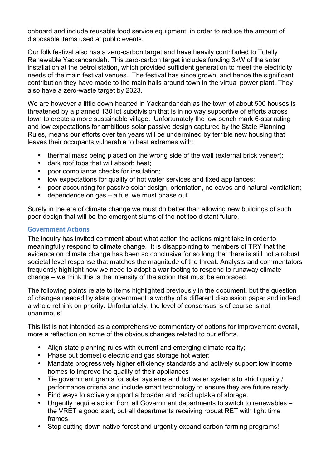onboard and include reusable food service equipment, in order to reduce the amount of disposable items used at public events.

Our folk festival also has a zero-carbon target and have heavily contributed to Totally Renewable Yackandandah. This zero-carbon target includes funding 3kW of the solar installation at the petrol station, which provided sufficient generation to meet the electricity needs of the main festival venues. The festival has since grown, and hence the significant contribution they have made to the main halls around town in the virtual power plant. They also have a zero-waste target by 2023.

We are however a little down hearted in Yackandandah as the town of about 500 houses is threatened by a planned 130 lot subdivision that is in no way supportive of efforts across town to create a more sustainable village. Unfortunately the low bench mark 6-star rating and low expectations for ambitious solar passive design captured by the State Planning Rules, means our efforts over ten years will be undermined by terrible new housing that leaves their occupants vulnerable to heat extremes with:

- thermal mass being placed on the wrong side of the wall (external brick veneer);
- dark roof tops that will absorb heat;
- poor compliance checks for insulation;
- low expectations for quality of hot water services and fixed appliances;
- poor accounting for passive solar design, orientation, no eaves and natural ventilation;
- dependence on gas a fuel we must phase out.

Surely in the era of climate change we must do better than allowing new buildings of such poor design that will be the emergent slums of the not too distant future.

# <span id="page-7-0"></span>**Government Actions**

The inquiry has invited comment about what action the actions might take in order to meaningfully respond to climate change. It is disappointing to members of TRY that the evidence on climate change has been so conclusive for so long that there is still not a robust societal level response that matches the magnitude of the threat. Analysts and commentators frequently highlight how we need to adopt a war footing to respond to runaway climate change – we think this is the intensity of the action that must be embraced.

The following points relate to items highlighted previously in the document, but the question of changes needed by state government is worthy of a different discussion paper and indeed a whole rethink on priority. Unfortunately, the level of consensus is of course is not unanimous!

This list is not intended as a comprehensive commentary of options for improvement overall, more a reflection on some of the obvious changes related to our efforts.

- Align state planning rules with current and emerging climate reality;
- Phase out domestic electric and gas storage hot water;
- Mandate progressively higher efficiency standards and actively support low income homes to improve the quality of their appliances
- Tie government grants for solar systems and hot water systems to strict quality / performance criteria and include smart technology to ensure they are future ready.
- Find ways to actively support a broader and rapid uptake of storage.
- Urgently require action from all Government departments to switch to renewables the VRET a good start; but all departments receiving robust RET with tight time frames.
- Stop cutting down native forest and urgently expand carbon farming programs!